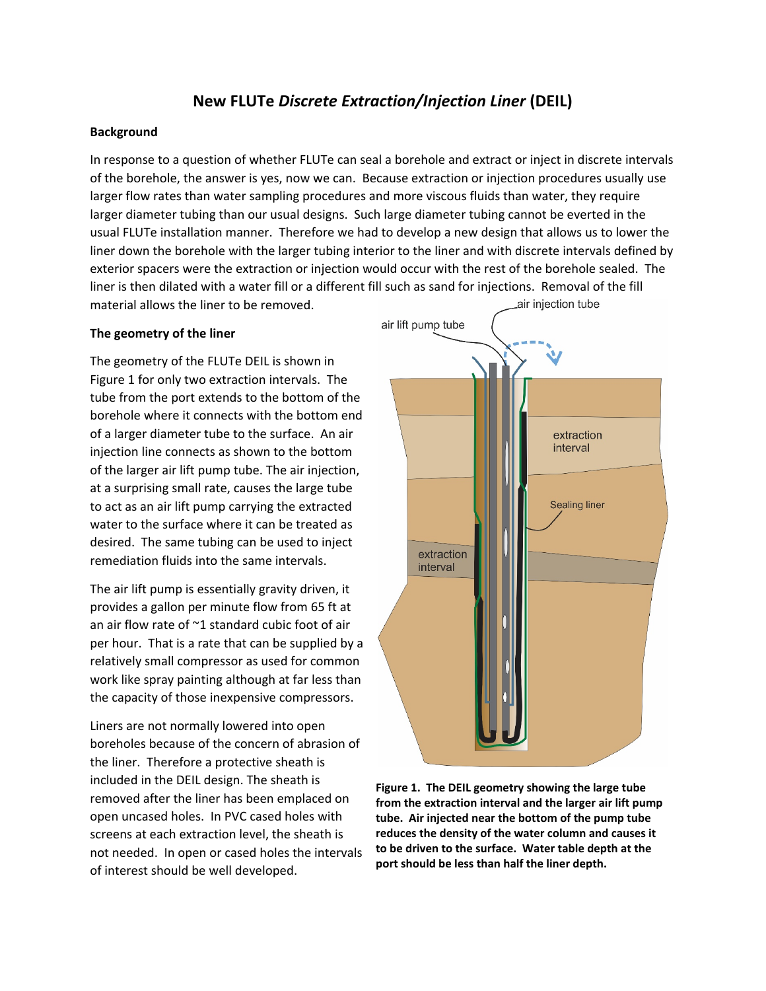# **New FLUTe** *Discrete Extraction/Injection Liner* **(DEIL)**

### **Background**

In response to a question of whether FLUTe can seal a borehole and extract or inject in discrete intervals of the borehole, the answer is yes, now we can. Because extraction or injection procedures usually use larger flow rates than water sampling procedures and more viscous fluids than water, they require larger diameter tubing than our usual designs. Such large diameter tubing cannot be everted in the usual FLUTe installation manner. Therefore we had to develop a new design that allows us to lower the liner down the borehole with the larger tubing interior to the liner and with discrete intervals defined by exterior spacers were the extraction or injection would occur with the rest of the borehole sealed. The liner is then dilated with a water fill or a different fill such as sand for injections. Removal of the fill air injection tube material allows the liner to be removed.

#### **The geometry of the liner**

The geometry of the FLUTe DEIL is shown in Figure 1 for only two extraction intervals. The tube from the port extends to the bottom of the borehole where it connects with the bottom end of a larger diameter tube to the surface. An air injection line connects as shown to the bottom of the larger air lift pump tube. The air injection, at a surprising small rate, causes the large tube to act as an air lift pump carrying the extracted water to the surface where it can be treated as desired. The same tubing can be used to inject remediation fluids into the same intervals.

The air lift pump is essentially gravity driven, it provides a gallon per minute flow from 65 ft at an air flow rate of ~1 standard cubic foot of air per hour. That is a rate that can be supplied by a relatively small compressor as used for common work like spray painting although at far less than the capacity of those inexpensive compressors.

Liners are not normally lowered into open boreholes because of the concern of abrasion of the liner. Therefore a protective sheath is included in the DEIL design. The sheath is removed after the liner has been emplaced on open uncased holes. In PVC cased holes with screens at each extraction level, the sheath is not needed. In open or cased holes the intervals of interest should be well developed.



**Figure 1. The DEIL geometry showing the large tube from the extraction interval and the larger air lift pump tube. Air injected near the bottom of the pump tube reduces the density of the water column and causes it to be driven to the surface. Water table depth at the port should be less than half the liner depth.**